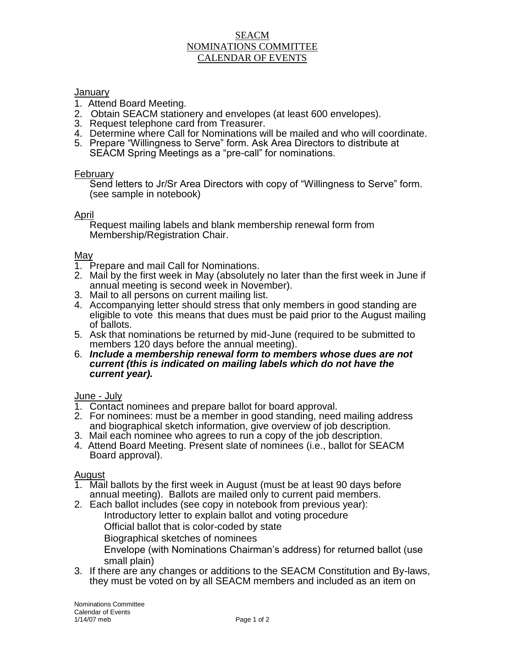## SEACM NOMINATIONS COMMITTEE CALENDAR OF EVENTS

### **January**

- 1. Attend Board Meeting.
- 2. Obtain SEACM stationery and envelopes (at least 600 envelopes).
- 3. Request telephone card from Treasurer.
- 4. Determine where Call for Nominations will be mailed and who will coordinate.
- 5. Prepare "Willingness to Serve" form. Ask Area Directors to distribute at SEACM Spring Meetings as a "pre-call" for nominations.

### February

Send letters to Jr/Sr Area Directors with copy of "Willingness to Serve" form. (see sample in notebook)

### April

Request mailing labels and blank membership renewal form from Membership/Registration Chair.

### May

- 1. Prepare and mail Call for Nominations.
- 2. Mail by the first week in May (absolutely no later than the first week in June if annual meeting is second week in November).
- 3. Mail to all persons on current mailing list.
- 4. Accompanying letter should stress that only members in good standing are eligible to vote this means that dues must be paid prior to the August mailing of ballots.
- 5. Ask that nominations be returned by mid-June (required to be submitted to members 120 days before the annual meeting).
- 6. *Include a membership renewal form to members whose dues are not current (this is indicated on mailing labels which do not have the current year).*

# June - July

- 1. Contact nominees and prepare ballot for board approval.
- 2. For nominees: must be a member in good standing, need mailing address and biographical sketch information, give overview of job description.
- 3. Mail each nominee who agrees to run a copy of the job description.
- 4. Attend Board Meeting. Present slate of nominees (i.e., ballot for SEACM Board approval).

## **August**

- 1. Mail ballots by the first week in August (must be at least 90 days before annual meeting). Ballots are mailed only to current paid members.
- 2. Each ballot includes (see copy in notebook from previous year):

Introductory letter to explain ballot and voting procedure

Official ballot that is color-coded by state

Biographical sketches of nominees

Envelope (with Nominations Chairman's address) for returned ballot (use small plain)

3. If there are any changes or additions to the SEACM Constitution and By-laws, they must be voted on by all SEACM members and included as an item on